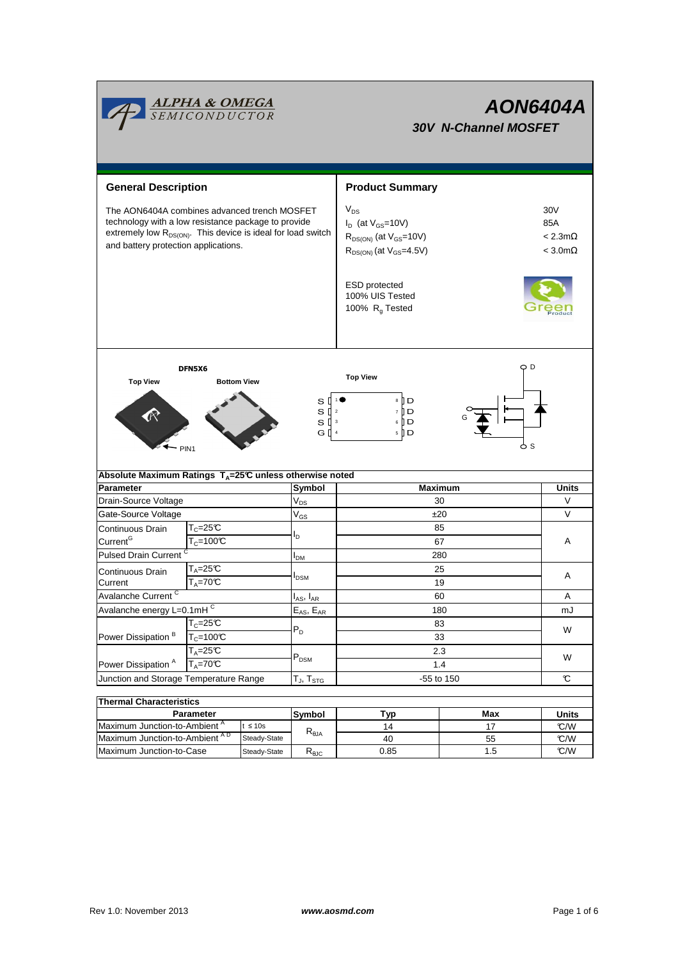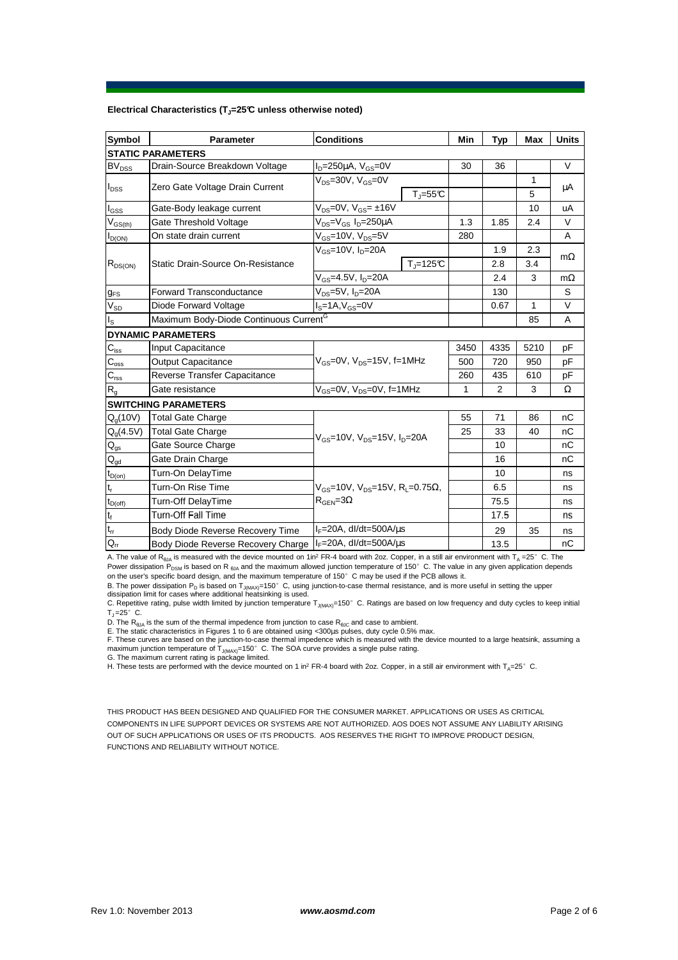## **Electrical Characteristics (TJ=25°C unless otherwise noted)**

| Symbol                         | <b>Parameter</b>                                   | <b>Conditions</b>                                                                           | Min  | Typ            | Max  | <b>Units</b> |
|--------------------------------|----------------------------------------------------|---------------------------------------------------------------------------------------------|------|----------------|------|--------------|
| <b>STATIC PARAMETERS</b>       |                                                    |                                                                                             |      |                |      |              |
| <b>BV<sub>DSS</sub></b>        | Drain-Source Breakdown Voltage                     | $ID=250\mu A$ , $VGS=0V$                                                                    | 30   | 36             |      | V            |
| $I_{\text{DSS}}$               | Zero Gate Voltage Drain Current                    | $V_{DS} = 30V$ , $V_{GS} = 0V$                                                              |      |                | 1    | μA           |
|                                |                                                    | $T = 55C$                                                                                   |      |                | 5    |              |
| $I_{GSS}$                      | Gate-Body leakage current                          | $V_{DS}$ =0V, $V_{GS}$ = ±16V                                                               |      |                | 10   | uA           |
| $\mathsf{V}_{\mathsf{GS(th)}}$ | Gate Threshold Voltage                             | V <sub>DS</sub> =V <sub>GS</sub> I <sub>D</sub> =250µA                                      | 1.3  | 1.85           | 2.4  | V            |
| $I_{D(ON)}$                    | On state drain current                             | $V_{\text{GS}}$ =10V, $V_{\text{DS}}$ =5V                                                   | 280  |                |      | A            |
| $R_{DS(ON)}$                   | Static Drain-Source On-Resistance                  | $V_{GS}$ =10V, I <sub>D</sub> =20A                                                          |      | 1.9            | 2.3  |              |
|                                |                                                    | $T_{\rm J}$ =125°C                                                                          |      | 2.8            | 3.4  | $m\Omega$    |
|                                |                                                    | V <sub>GS</sub> =4.5V, I <sub>D</sub> =20A                                                  |      | 2.4            | 3    | $m\Omega$    |
| $g_{\text{FS}}$                | <b>Forward Transconductance</b>                    | $\overline{V_{DS}}$ =5 $\overline{V}$ , I <sub>D</sub> =20A                                 |      | 130            |      | S            |
| $\rm V_{SD}$                   | Diode Forward Voltage                              | $IS=1A, VGS=0V$                                                                             |      | 0.67           | 1    | V            |
| $I_{\rm S}$                    | Maximum Body-Diode Continuous Current <sup>G</sup> |                                                                                             |      |                | 85   | A            |
| <b>DYNAMIC PARAMETERS</b>      |                                                    |                                                                                             |      |                |      |              |
| $C_{\text{iss}}$               | Input Capacitance                                  | $V_{\text{GS}} = 0V$ , $V_{\text{DS}} = 15V$ , f=1MHz                                       | 3450 | 4335           | 5210 | pF           |
| $C_{\rm oss}$                  | <b>Output Capacitance</b>                          |                                                                                             | 500  | 720            | 950  | pF           |
| $C_{\rm rss}$                  | Reverse Transfer Capacitance                       |                                                                                             | 260  | 435            | 610  | pF           |
| R <sub>g</sub>                 | Gate resistance                                    | $V_{GS}$ =0V, $V_{DS}$ =0V, f=1MHz                                                          | 1    | $\overline{2}$ | 3    | Ω            |
| <b>SWITCHING PARAMETERS</b>    |                                                    |                                                                                             |      |                |      |              |
| $Q_q(10V)$                     | <b>Total Gate Charge</b>                           | $V_{\text{gs}} = 10V$ , $V_{\text{ps}} = 15V$ , $I_{\text{p}} = 20A$                        | 55   | 71             | 86   | nC           |
| $Q_q(4.5V)$                    | <b>Total Gate Charge</b>                           |                                                                                             | 25   | 33             | 40   | nC           |
| $Q_{gs}$                       | Gate Source Charge                                 |                                                                                             |      | 10             |      | nC           |
| $\mathsf{Q}_{\mathsf{gd}}$     | Gate Drain Charge                                  |                                                                                             |      | 16             |      | nC           |
| $t_{D(0n)}$                    | Turn-On DelayTime                                  |                                                                                             |      | 10             |      | ns           |
| $\mathsf{t}_{\mathsf{r}}$      | Turn-On Rise Time                                  | $V_{GS}$ =10V, $V_{DS}$ =15V, R <sub>1</sub> =0.75 $\Omega$ ,<br>$R_{\text{GEN}} = 3\Omega$ |      | 6.5            |      | ns           |
| $t_{D(\text{off})}$            | Turn-Off DelayTime                                 |                                                                                             |      | 75.5           |      | ns           |
| $\mathbf{t}_\text{f}$          | <b>Turn-Off Fall Time</b>                          |                                                                                             |      | 17.5           |      | ns           |
| $t_{rr}$                       | Body Diode Reverse Recovery Time                   | $I_F = 20A$ , dl/dt=500A/ $\mu$ s                                                           |      | 29             | 35   | ns           |
| $Q_{rr}$                       | Body Diode Reverse Recovery Charge                 | $I_F = 20A$ , dl/dt=500A/ $\mu$ s                                                           |      | 13.5           |      | nC           |

A. The value of R<sub>ala</sub> is measured with the device mounted on 1in<sup>2</sup> FR-4 board with 2oz. Copper, in a still air environment with T<sub>A</sub> =25°C. The Power dissipation  $P_{DSM}$  is based on R  $_{\theta_1A}$  and the maximum allowed junction temperature of 150°C. The value in any given application depends on the user's specific board design, and the maximum temperature of 150°C may be used if the PCB allows it.

B. The power dissipation P<sub>D</sub> is based on T<sub>J(MAX)</sub>=150°C, using junction-to-case thermal resistance, and is more useful in setting the upper<br>dissipation limit for cases where additional heatsinking is used.

C. Repetitive rating, pulse width limited by junction temperature  $T_{J(MAX)}$ =150°C. Ratings are based on low frequency and duty cycles to keep initial  $T_{\text{J}} = 25^{\circ}$  C.

D. The R<sub>θJA</sub> is the sum of the thermal impedence from junction to case R<sub>θJC</sub> and case to ambient.<br>E. The static characteristics in Figures 1 to 6 are obtained using <300μs pulses, duty cycle 0.5% max.

F. These curves are based on the junction-to-case thermal impedence which is measured with the device mounted to a large heatsink, assuming a maximum junction temperature of  $T_{J(MAX)}$ =150°C. The SOA curve provides a single pulse rating.

G. The maximum current rating is package limited.

H. These tests are performed with the device mounted on 1 in<sup>2</sup> FR-4 board with 2oz. Copper, in a still air environment with T<sub>A</sub>=25°C.

THIS PRODUCT HAS BEEN DESIGNED AND QUALIFIED FOR THE CONSUMER MARKET. APPLICATIONS OR USES AS CRITICAL COMPONENTS IN LIFE SUPPORT DEVICES OR SYSTEMS ARE NOT AUTHORIZED. AOS DOES NOT ASSUME ANY LIABILITY ARISING OUT OF SUCH APPLICATIONS OR USES OF ITS PRODUCTS. AOS RESERVES THE RIGHT TO IMPROVE PRODUCT DESIGN, FUNCTIONS AND RELIABILITY WITHOUT NOTICE.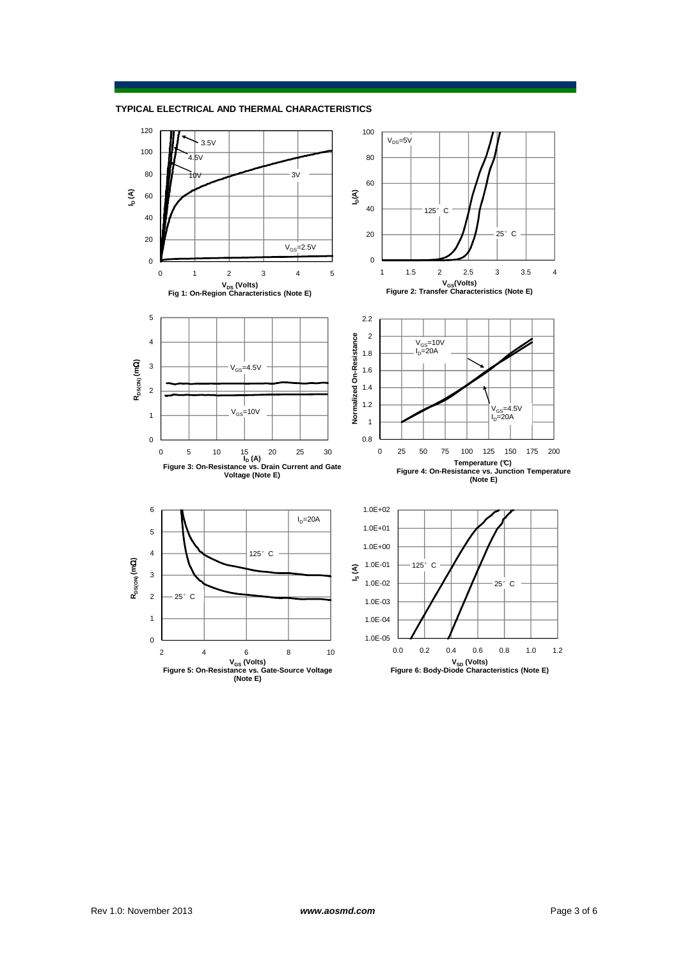**TYPICAL ELECTRICAL AND THERMAL CHARACTERISTICS**

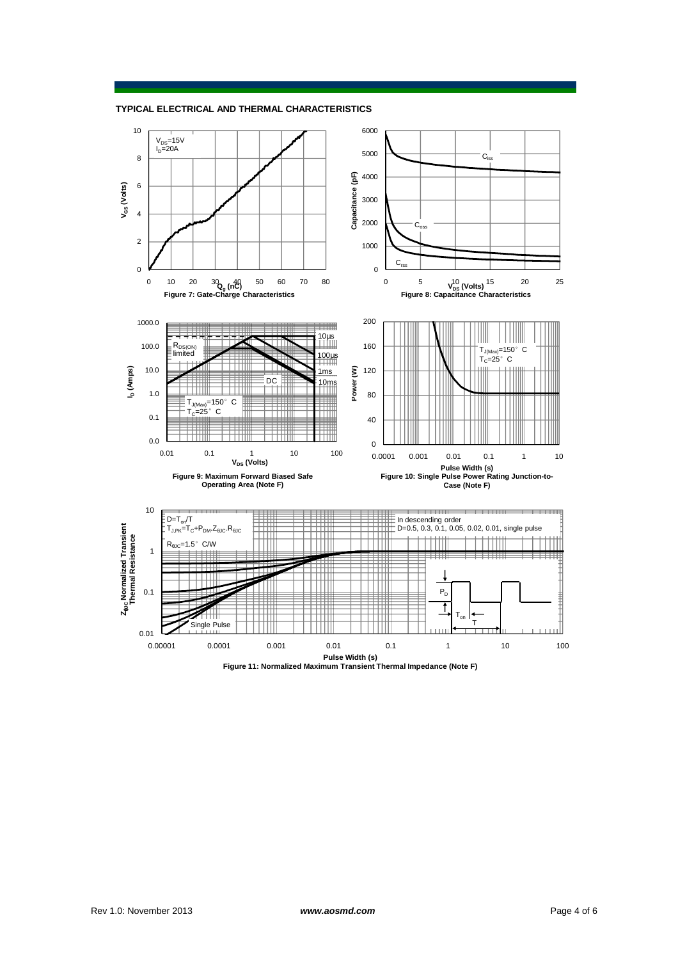

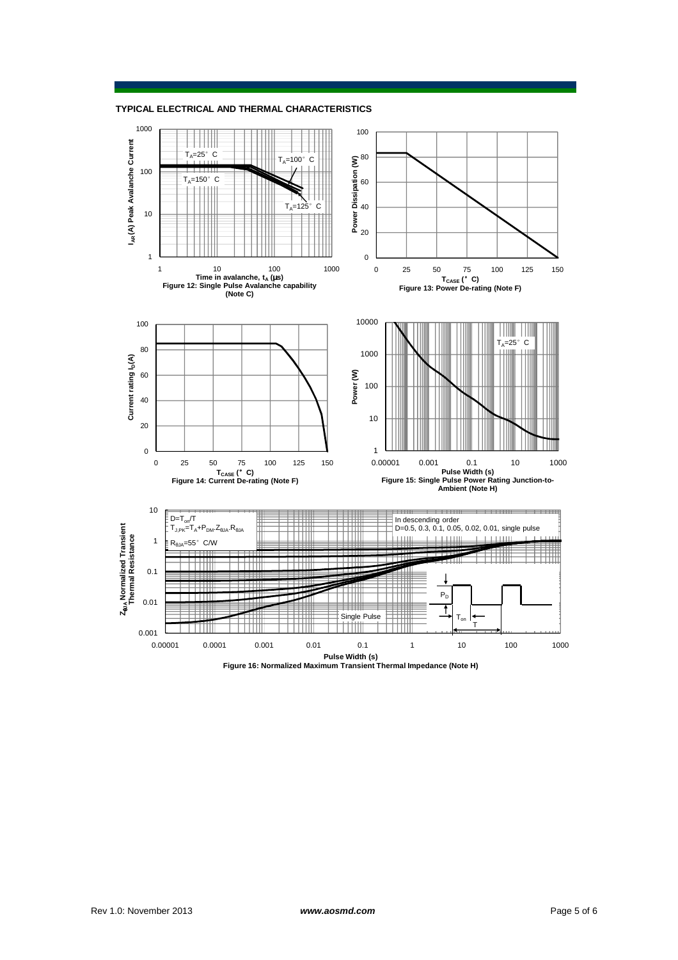**TYPICAL ELECTRICAL AND THERMAL CHARACTERISTICS**